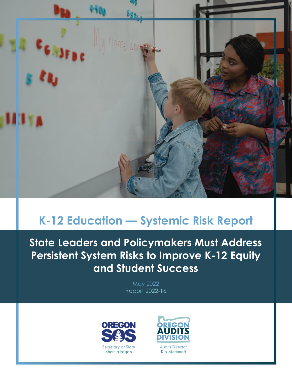

# **K-12 Education — Systemic Risk Report**

**State Leaders and Policymakers Must Address Persistent System Risks to Improve K-12 Equity and Student Success**

> May 2022 Report 2022-16



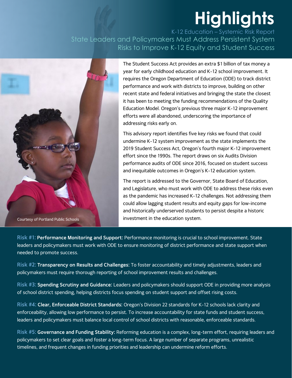# **Highlights**

K-12 Education – Systemic Risk Report State Leaders and Policymakers Must Address Persistent System Risks to Improve K-12 Equity and Student Success



The Student Success Act provides an extra \$1 billion of tax money a year for early childhood education and K-12 school improvement. It requires the Oregon Department of Education (ODE) to track district performance and work with districts to improve, building on other recent state and federal initiatives and bringing the state the closest it has been to meeting the funding recommendations of the Quality Education Model. Oregon's previous three major K-12 improvement efforts were all abandoned, underscoring the importance of addressing risks early on.

This advisory report identifies five key risks we found that could undermine K-12 system improvement as the state implements the 2019 Student Success Act, Oregon's fourth major K-12 improvement effort since the 1990s. The report draws on six Audits Division performance audits of ODE since 2016, focused on student success and inequitable outcomes in Oregon's K-12 education system.

The report is addressed to the Governor, State Board of Education, and Legislature, who must work with ODE to address these risks even as the pandemic has increased K-12 challenges. Not addressing them could allow lagging student results and equity gaps for low-income and historically underserved students to persist despite a historic investment in the education system.

**Risk #1: Performance Monitoring and Support:** Performance monitoring is crucial to school improvement. State leaders and policymakers must work with ODE to ensure monitoring of district performance and state support when needed to promote success.

**Risk #2: Transparency on Results and Challenges:** To foster accountability and timely adjustments, leaders and policymakers must require thorough reporting of school improvement results and challenges.

**Risk #3: Spending Scrutiny and Guidance:** Leaders and policymakers should support ODE in providing more analysis of school district spending, helping districts focus spending on student support and offset rising costs.

**Risk #4: Clear, Enforceable District Standards:** Oregon's Division 22 standards for K-12 schools lack clarity and enforceability, allowing low performance to persist. To increase accountability for state funds and student success, leaders and policymakers must balance local control of school districts with reasonable, enforceable standards.

**Risk #5: Governance and Funding Stability:** Reforming education is a complex, long-term effort, requiring leaders and policymakers to set clear goals and foster a long-term focus. A large number of separate programs, unrealistic timelines, and frequent changes in funding priorities and leadership can undermine reform efforts.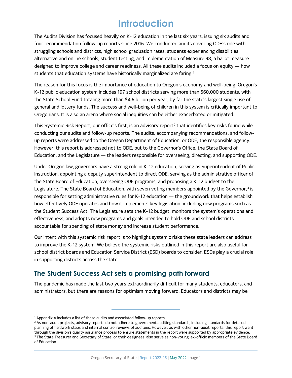# **Introduction**

The Audits Division has focused heavily on K-12 education in the last six years, issuing six audits and four recommendation follow-up reports since 2016. We conducted audits covering ODE's role with struggling schools and districts, high school graduation rates, students experiencing disabilities, alternative and online schools, student testing, and implementation of Measure 98, a ballot measure designed to improve college and career readiness. All these audits included a focus on equity — how students that education systems have historically marginalized are faring.<sup>[1](#page-2-0)</sup>

The reason for this focus is the importance of education to Oregon's economy and well-being. Oregon's K-12 public education system includes 197 school districts serving more than 560,000 students, with the State School Fund totaling more than \$4.6 billion per year, by far the state's largest single use of general and lottery funds. The success and well-being of children in this system is critically important to Oregonians. It is also an arena where social inequities can be either exacerbated or mitigated.

This Systemic Risk Report, our office's first, is an advisory report<sup>[2](#page-2-1)</sup> that identifies key risks found while conducting our audits and follow-up reports. The audits, accompanying recommendations, and followup reports were addressed to the Oregon Department of Education, or ODE, the responsible agency. However, this report is addressed not to ODE, but to the Governor's Office, the State Board of Education, and the Legislature — the leaders responsible for overseeing, directing, and supporting ODE.

Under Oregon law, governors have a strong role in K-12 education, serving as Superintendent of Public Instruction, appointing a deputy superintendent to direct ODE, serving as the administrative officer of the State Board of Education, overseeing ODE programs, and proposing a K-12 budget to the Legislature. The State Board of Education, with seven voting members appointed by the Governor, $3$  is responsible for setting administrative rules for K-12 education — the groundwork that helps establish how effectively ODE operates and how it implements key legislation, including new programs such as the Student Success Act. The Legislature sets the K-12 budget, monitors the system's operations and effectiveness, and adopts new programs and goals intended to hold ODE and school districts accountable for spending of state money and increase student performance.

Our intent with this systemic risk report is to highlight systemic risks these state leaders can address to improve the K-12 system. We believe the systemic risks outlined in this report are also useful for school district boards and Education Service District (ESD) boards to consider. ESDs play a crucial role in supporting districts across the state.

# **The Student Success Act sets a promising path forward**

The pandemic has made the last two years extraordinarily difficult for many students, educators, and administrators, but there are reasons for optimism moving forward. Educators and districts may be

<sup>&</sup>lt;sup>1</sup> Appendix A includes a list of these audits and associated follow-up reports.

<span id="page-2-2"></span><span id="page-2-1"></span><span id="page-2-0"></span><sup>&</sup>lt;sup>2</sup> As non-audit projects, advisory reports do not adhere to government auditing standards, including standards for detailed planning of fieldwork steps and internal control reviews of auditees. However, as with other non-audit reports, this report went through the division's quality assurance process to ensure statements in the report were supported by appropriate evidence. <sup>3</sup> The State Treasurer and Secretary of State, or their designees, also serve as non-voting, ex-officio members of the State Board of Education.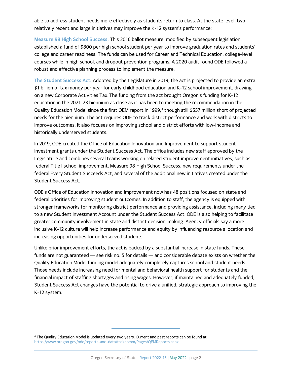able to address student needs more effectively as students return to class. At the state level, two relatively recent and large initiatives may improve the K-12 system's performance:

**Measure 98 High School Success.** This 2016 ballot measure, modified by subsequent legislation, established a fund of \$800 per high school student per year to improve graduation rates and students' college and career readiness. The funds can be used for Career and Technical Education, college-level courses while in high school, and dropout prevention programs. A 2020 audit found ODE followed a robust and effective planning process to implement the measure.

**The Student Success Act.** Adopted by the Legislature in 2019, the act is projected to provide an extra \$1 billion of tax money per year for early childhood education and K-12 school improvement, drawing on a new Corporate Activities Tax. The funding from the act brought Oregon's funding for K-12 education in the 2021-23 biennium as close as it has been to meeting the recommendation in the Quality Education Model since the first QEM report in 1999, [4](#page-3-0) though still \$557 million short of projected needs for the biennium. The act requires ODE to track district performance and work with districts to improve outcomes. It also focuses on improving school and district efforts with low-income and historically underserved students.

In 2019, ODE created the Office of Education Innovation and Improvement to support student investment grants under the Student Success Act. The office includes new staff approved by the Legislature and combines several teams working on related student improvement initiatives, such as federal Title I school improvement, Measure 98 High School Success, new requirements under the federal Every Student Succeeds Act, and several of the additional new initiatives created under the Student Success Act.

ODE's Office of Education Innovation and Improvement now has 48 positions focused on state and federal priorities for improving student outcomes. In addition to staff, the agency is equipped with stronger frameworks for monitoring district performance and providing assistance, including many tied to a new Student Investment Account under the Student Success Act. ODE is also helping to facilitate greater community involvement in state and district decision-making. Agency officials say a more inclusive K-12 culture will help increase performance and equity by influencing resource allocation and increasing opportunities for underserved students.

Unlike prior improvement efforts, the act is backed by a substantial increase in state funds. These funds are not guaranteed — see risk no. 5 for details — and considerable debate exists on whether the Quality Education Model funding model adequately completely captures school and student needs. Those needs include increasing need for mental and behavioral health support for students and the financial impact of staffing shortages and rising wages. However, if maintained and adequately funded, Student Success Act changes have the potential to drive a unified, strategic approach to improving the K-12 system.

<span id="page-3-0"></span><sup>4</sup> The Quality Education Model is updated every two years. Current and past reports can be found at <https://www.oregon.gov/ode/reports-and-data/taskcomm/Pages/QEMReports.aspx>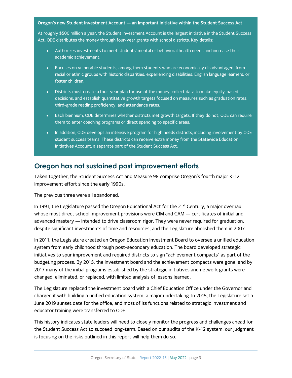#### **Oregon's new Student Investment Account — an important initiative within the Student Success Act**

At roughly \$500 million a year, the Student Investment Account is the largest initiative in the Student Success Act. ODE distributes the money through four-year grants with school districts. Key details:

- Authorizes investments to meet students' mental or behavioral health needs and increase their academic achievement.
- Focuses on vulnerable students, among them students who are economically disadvantaged, from racial or ethnic groups with historic disparities, experiencing disabilities, English language learners, or foster children.
- Districts must create a four-year plan for use of the money, collect data to make equity-based decisions, and establish quantitative growth targets focused on measures such as graduation rates, third-grade reading proficiency, and attendance rates.
- Each biennium, ODE determines whether districts met growth targets. If they do not, ODE can require them to enter coaching programs or direct spending to specific areas.
- In addition, ODE develops an intensive program for high needs districts, including involvement by ODE student success teams. These districts can receive extra money from the Statewide Education Initiatives Account, a separate part of the Student Success Act.

## **Oregon has not sustained past improvement efforts**

Taken together, the Student Success Act and Measure 98 comprise Oregon's fourth major K-12 improvement effort since the early 1990s.

The previous three were all abandoned.

In 1991, the Legislature passed the Oregon Educational Act for the  $21<sup>st</sup>$  Century, a major overhaul whose most direct school improvement provisions were CIM and CAM — certificates of initial and advanced mastery — intended to drive classroom rigor. They were never required for graduation, despite significant investments of time and resources, and the Legislature abolished them in 2007.

In 2011, the Legislature created an Oregon Education Investment Board to oversee a unified education system from early childhood through post-secondary education. The board developed strategic initiatives to spur improvement and required districts to sign "achievement compacts" as part of the budgeting process. By 2015, the investment board and the achievement compacts were gone, and by 2017 many of the initial programs established by the strategic initiatives and network grants were changed, eliminated, or replaced, with limited analysis of lessons learned.

The Legislature replaced the investment board with a Chief Education Office under the Governor and charged it with building a unified education system, a major undertaking. In 2015, the Legislature set a June 2019 sunset date for the office, and most of its functions related to strategic investment and educator training were transferred to ODE.

This history indicates state leaders will need to closely monitor the progress and challenges ahead for the Student Success Act to succeed long-term. Based on our audits of the K-12 system, our judgment is focusing on the risks outlined in this report will help them do so.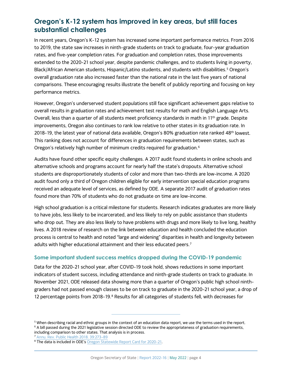# **Oregon's K-12 system has improved in key areas, but still faces substantial challenges**

In recent years, Oregon's K-12 system has increased some important performance metrics. From 2016 to 2019, the state saw increases in ninth-grade students on track to graduate, four-year graduation rates, and five-year completion rates. For graduation and completion rates, those improvements extended to the 2020-21 school year, despite pandemic challenges, and to students living in poverty, Black/African American students, Hispanic/Latino students, and students with disabilities.<sup>[5](#page-5-0)</sup> Oregon's overall graduation rate also increased faster than the national rate in the last five years of national comparisons. These encouraging results illustrate the benefit of publicly reporting and focusing on key performance metrics.

However, Oregon's underserved student populations still face significant achievement gaps relative to overall results in graduation rates and achievement test results for math and English Language Arts. Overall, less than a quarter of all students meet proficiency standards in math in 11<sup>th</sup> grade. Despite improvements, Oregon also continues to rank low relative to other states in its graduation rate. In 2018-19, the latest year of national data available, Oregon's 80% graduation rate ranked 48<sup>th</sup> lowest. This ranking does not account for differences in graduation requirements between states, such as Oregon's relatively high number of minimum credits required for graduation. $^{\rm 6}$  $^{\rm 6}$  $^{\rm 6}$ 

Audits have found other specific equity challenges. A 2017 audit found students in online schools and alternative schools and programs account for nearly half the state's dropouts. Alternative school students are disproportionately students of color and more than two-thirds are low-income. A 2020 audit found only a third of Oregon children eligible for early intervention special education programs received an adequate level of services, as defined by ODE. A separate 2017 audit of graduation rates found more than 70% of students who do not graduate on time are low-income.

High school graduation is a critical milestone for students. Research indicates graduates are more likely to have jobs, less likely to be incarcerated, and less likely to rely on public assistance than students who drop out. They are also less likely to have problems with drugs and more likely to live long, healthy lives. A 2018 review of research on the link between education and health concluded the education process is central to health and noted "large and widening" disparities in health and longevity between adults with higher educational attainment and their less educated peers.<sup>[7](#page-5-2)</sup>

#### **Some important student success metrics dropped during the COVID-19 pandemic**

Data for the 2020-21 school year, after COVID-19 took hold, shows reductions in some important indicators of student success, including attendance and ninth-grade students on track to graduate. In November 2021, ODE released data showing more than a quarter of Oregon's public high school ninthgraders had not passed enough classes to be on track to graduate in the 2020-21 school year, a drop of 12 percentage points from 201[8](#page-5-3)-19.<sup>8</sup> Results for all categories of students fell, with decreases for

<span id="page-5-1"></span><span id="page-5-0"></span><sup>5</sup> When describing racial and ethnic groups in the context of an education data report, we use the terms used in the report. <sup>6</sup> A bill passed during the 2021 legislative session directed ODE to review the appropriateness of graduation requirements, including comparison to other states. That analysis is in process.<br><sup>7</sup> Annu. Rev. Public Health 2018. 39:273-89

<span id="page-5-2"></span>

<span id="page-5-3"></span><sup>&</sup>lt;sup>8</sup> The data is included in ODE's Oregon Statewide Report Card for 2020-21.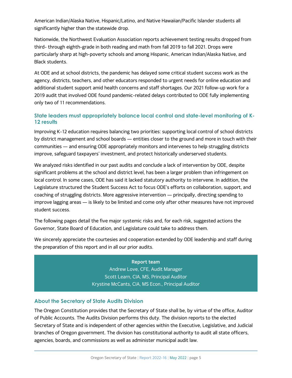American Indian/Alaska Native, Hispanic/Latino, and Native Hawaiian/Pacific Islander students all significantly higher than the statewide drop.

Nationwide, the Northwest Evaluation Association reports achievement testing results dropped from third- through eighth-grade in both reading and math from fall 2019 to fall 2021. Drops were particularly sharp at high-poverty schools and among Hispanic, American Indian/Alaska Native, and Black students.

At ODE and at school districts, the pandemic has delayed some critical student success work as the agency, districts, teachers, and other educators responded to urgent needs for online education and additional student support amid health concerns and staff shortages. Our 2021 follow-up work for a 2019 audit that involved ODE found pandemic-related delays contributed to ODE fully implementing only two of 11 recommendations.

#### **State leaders must appropriately balance local control and state-level monitoring of K-12 results**

Improving K-12 education requires balancing two priorities: supporting local control of school districts by district management and school boards — entities closer to the ground and more in touch with their communities — and ensuring ODE appropriately monitors and intervenes to help struggling districts improve, safeguard taxpayers' investment, and protect historically underserved students.

We analyzed risks identified in our past audits and conclude a lack of intervention by ODE, despite significant problems at the school and district level, has been a larger problem than infringement on local control. In some cases, ODE has said it lacked statutory authority to intervene. In addition, the Legislature structured the Student Success Act to focus ODE's efforts on collaboration, support, and coaching of struggling districts. More aggressive intervention — principally, directing spending to improve lagging areas — is likely to be limited and come only after other measures have not improved student success.

The following pages detail the five major systemic risks and, for each risk, suggested actions the Governor, State Board of Education, and Legislature could take to address them.

We sincerely appreciate the courtesies and cooperation extended by ODE leadership and staff during the preparation of this report and in all our prior audits.

> **Report team** Andrew Love, CFE, Audit Manager Scott Learn, CIA, MS, Principal Auditor Krystine McCants, CIA, MS Econ., Principal Auditor

#### **About the Secretary of State Audits Division**

The Oregon Constitution provides that the Secretary of State shall be, by virtue of the office, Auditor of Public Accounts. The Audits Division performs this duty. The division reports to the elected Secretary of State and is independent of other agencies within the Executive, Legislative, and Judicial branches of Oregon government. The division has constitutional authority to audit all state officers, agencies, boards, and commissions as well as administer municipal audit law.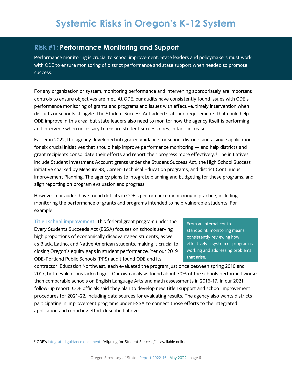## **Risk #1: Performance Monitoring and Support**

Performance monitoring is crucial to school improvement. State leaders and policymakers must work with ODE to ensure monitoring of district performance and state support when needed to promote success.

For any organization or system, monitoring performance and intervening appropriately are important controls to ensure objectives are met. At ODE, our audits have consistently found issues with ODE's performance monitoring of grants and programs and issues with effective, timely intervention when districts or schools struggle. The Student Success Act added staff and requirements that could help ODE improve in this area, but state leaders also need to monitor how the agency itself is performing and intervene when necessary to ensure student success does, in fact, increase.

Earlier in 2022, the agency developed integrated guidance for school districts and a single application for six crucial initiatives that should help improve performance monitoring — and help districts and grant recipients consolidate their efforts and report their progress more effectively.<sup>[9](#page-7-0)</sup> The initiatives include Student Investment Account grants under the Student Success Act, the High School Success initiative sparked by Measure 98, Career-Technical Education programs, and district Continuous Improvement Planning. The agency plans to integrate planning and budgeting for these programs, and align reporting on program evaluation and progress.

However, our audits have found deficits in ODE's performance monitoring in practice, including monitoring the performance of grants and programs intended to help vulnerable students. For example:

**Title I school improvement.** This federal grant program under the Every Students Succeeds Act (ESSA) focuses on schools serving high proportions of economically disadvantaged students, as well as Black, Latino, and Native American students, making it crucial to closing Oregon's equity gaps in student performance. Yet our 2019 ODE-Portland Public Schools (PPS) audit found ODE and its

From an internal control standpoint, monitoring means consistently reviewing how effectively a system or program is working and addressing problems that arise.

contractor, Education Northwest, each evaluated the program just once between spring 2010 and 2017; both evaluations lacked rigor. Our own analysis found about 70% of the schools performed worse than comparable schools on English Language Arts and math assessments in 2016-17. In our 2021 follow-up report, ODE officials said they plan to develop new Title I support and school improvement procedures for 2021-22, including data sources for evaluating results. The agency also wants districts participating in improvement programs under ESSA to connect those efforts to the integrated application and reporting effort described above.

<span id="page-7-0"></span><sup>9</sup> ODE'[s integrated guidance document,](https://www.oregon.gov/ode/StudentSuccess/Pages/Innovation-and-Improvement.aspx) "Aligning for Student Success," is available online.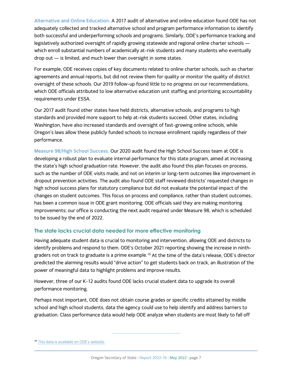**Alternative and Online Education.** A 2017 audit of alternative and online education found ODE has not adequately collected and tracked alternative school and program performance information to identify both successful and underperforming schools and programs. Similarly, ODE's performance tracking and legislatively authorized oversight of rapidly growing statewide and regional online charter schools which enroll substantial numbers of academically at-risk students and many students who eventually drop out — is limited, and much lower than oversight in some states.

For example, ODE receives copies of key documents related to online charter schools, such as charter agreements and annual reports, but did not review them for quality or monitor the quality of district oversight of these schools. Our 2019 follow-up found little to no progress on our recommendations, which ODE officials attributed to low alternative education unit staffing and prioritizing accountability requirements under ESSA.

Our 2017 audit found other states have held districts, alternative schools, and programs to high standards and provided more support to help at-risk students succeed. Other states, including Washington, have also increased standards and oversight of fast-growing online schools, while Oregon's laws allow these publicly funded schools to increase enrollment rapidly regardless of their performance.

**Measure 98/High School Success.** Our 2020 audit found the High School Success team at ODE is developing a robust plan to evaluate internal performance for this state program, aimed at increasing the state's high school graduation rate. However, the audit also found this plan focuses on process, such as the number of ODE visits made, and not on interim or long-term outcomes like improvement in dropout prevention activities. The audit also found ODE staff reviewed districts' requested changes in high school success plans for statutory compliance but did not evaluate the potential impact of the changes on student outcomes. This focus on process and compliance, rather than student outcomes, has been a common issue in ODE grant monitoring. ODE officials said they are making monitoring improvements; our office is conducting the next audit required under Measure 98, which is scheduled to be issued by the end of 2022.

#### **The state lacks crucial data needed for more effective monitoring**

Having adequate student data is crucial to monitoring and intervention, allowing ODE and districts to identify problems and respond to them. ODE's October 2021 reporting showing the increase in ninthgraders not on track to graduate is a prime example.[10](#page-8-0) At the time of the data's release, ODE's director predicted the alarming results would "drive action" to get students back on track, an illustration of the power of meaningful data to highlight problems and improve results.

However, three of our K-12 audits found ODE lacks crucial student data to upgrade its overall performance monitoring.

Perhaps most important, ODE does not obtain course grades or specific credits attained by middle school and high school students, data the agency could use to help identify and address barriers to graduation. Class performance data would help ODE analyze when students are most likely to fall off

<span id="page-8-0"></span><sup>&</sup>lt;sup>10</sup> [This data is available on ODE's website.](https://www.ode.state.or.us/data/reportcard/Media.aspx)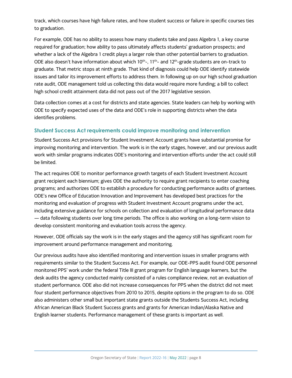track, which courses have high failure rates, and how student success or failure in specific courses ties to graduation.

For example, ODE has no ability to assess how many students take and pass Algebra 1, a key course required for graduation; how ability to pass ultimately affects students' graduation prospects; and whether a lack of the Algebra 1 credit plays a larger role than other potential barriers to graduation. ODE also doesn't have information about which  $10^{th}$ -,  $11^{th}$ - and  $12^{th}$ -grade students are on-track to graduate. That metric stops at ninth grade. That kind of diagnosis could help ODE identify statewide issues and tailor its improvement efforts to address them. In following up on our high school graduation rate audit, ODE management told us collecting this data would require more funding; a bill to collect high school credit attainment data did not pass out of the 2017 legislative session.

Data collection comes at a cost for districts and state agencies. State leaders can help by working with ODE to specify expected uses of the data and ODE's role in supporting districts when the data identifies problems.

#### **Student Success Act requirements could improve monitoring and intervention**

Student Success Act provisions for Student Investment Account grants have substantial promise for improving monitoring and intervention. The work is in the early stages, however, and our previous audit work with similar programs indicates ODE's monitoring and intervention efforts under the act could still be limited.

The act requires ODE to monitor performance growth targets of each Student Investment Account grant recipient each biennium; gives ODE the authority to require grant recipients to enter coaching programs; and authorizes ODE to establish a procedure for conducting performance audits of grantees. ODE's new Office of Education Innovation and Improvement has developed best practices for the monitoring and evaluation of progress with Student Investment Account programs under the act, including extensive guidance for schools on collection and evaluation of longitudinal performance data — data following students over long time periods. The office is also working on a long-term vision to develop consistent monitoring and evaluation tools across the agency.

However, ODE officials say the work is in the early stages and the agency still has significant room for improvement around performance management and monitoring.

Our previous audits have also identified monitoring and intervention issues in smaller programs with requirements similar to the Student Success Act. For example, our ODE-PPS audit found ODE personnel monitored PPS' work under the federal Title III grant program for English language learners, but the desk audits the agency conducted mainly consisted of a rules compliance review, not an evaluation of student performance. ODE also did not increase consequences for PPS when the district did not meet four student performance objectives from 2010 to 2015, despite options in the program to do so. ODE also administers other small but important state grants outside the Students Success Act, including African American Black Student Success grants and grants for American Indian/Alaska Native and English learner students. Performance management of these grants is important as well.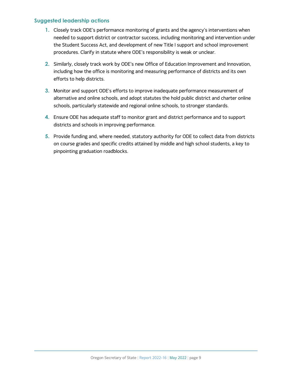#### **Suggested leadership actions**

- **1.** Closely track ODE's performance monitoring of grants and the agency's interventions when needed to support district or contractor success, including monitoring and intervention under the Student Success Act, and development of new Title I support and school improvement procedures. Clarify in statute where ODE's responsibility is weak or unclear.
- **2.** Similarly, closely track work by ODE's new Office of Education Improvement and Innovation, including how the office is monitoring and measuring performance of districts and its own efforts to help districts.
- **3.** Monitor and support ODE's efforts to improve inadequate performance measurement of alternative and online schools, and adopt statutes the hold public district and charter online schools, particularly statewide and regional online schools, to stronger standards.
- **4.** Ensure ODE has adequate staff to monitor grant and district performance and to support districts and schools in improving performance.
- **5.** Provide funding and, where needed, statutory authority for ODE to collect data from districts on course grades and specific credits attained by middle and high school students, a key to pinpointing graduation roadblocks.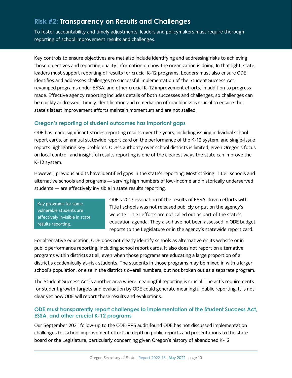# **Risk #2: Transparency on Results and Challenges**

To foster accountability and timely adjustments, leaders and policymakers must require thorough reporting of school improvement results and challenges.

Key controls to ensure objectives are met also include identifying and addressing risks to achieving those objectives and reporting quality information on how the organization is doing. In that light, state leaders must support reporting of results for crucial K-12 programs. Leaders must also ensure ODE identifies and addresses challenges to successful implementation of the Student Success Act, revamped programs under ESSA, and other crucial K-12 improvement efforts, in addition to progress made. Effective agency reporting includes details of both successes and challenges, so challenges can be quickly addressed. Timely identification and remediation of roadblocks is crucial to ensure the state's latest improvement efforts maintain momentum and are not stalled.

#### **Oregon's reporting of student outcomes has important gaps**

ODE has made significant strides reporting results over the years, including issuing individual school report cards, an annual statewide report card on the performance of the K-12 system, and single-issue reports highlighting key problems. ODE's authority over school districts is limited, given Oregon's focus on local control, and insightful results reporting is one of the clearest ways the state can improve the K-12 system.

However, previous audits have identified gaps in the state's reporting. Most striking: Title I schools and alternative schools and programs — serving high numbers of low-income and historically underserved students — are effectively invisible in state results reporting.

Key programs for some vulnerable students are effectively invisible in state results reporting.

ODE's 2017 evaluation of the results of ESSA-driven efforts with Title I schools was not released publicly or put on the agency's website. Title I efforts are not called out as part of the state's education agenda. They also have not been assessed in ODE budget reports to the Legislature or in the agency's statewide report card.

For alternative education, ODE does not clearly identify schools as alternative on its website or in public performance reporting, including school report cards. It also does not report on alternative programs within districts at all, even when those programs are educating a large proportion of a district's academically at-risk students. The students in those programs may be mixed in with a larger school's population, or else in the district's overall numbers, but not broken out as a separate program.

The Student Success Act is another area where meaningful reporting is crucial. The act's requirements for student growth targets and evaluation by ODE could generate meaningful public reporting. It is not clear yet how ODE will report these results and evaluations.

#### **ODE must transparently report challenges to implementation of the Student Success Act, ESSA, and other crucial K-12 programs**

Our September 2021 follow-up to the ODE-PPS audit found ODE has not discussed implementation challenges for school improvement efforts in depth in public reports and presentations to the state board or the Legislature, particularly concerning given Oregon's history of abandoned K-12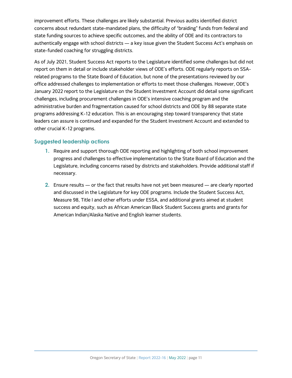improvement efforts. These challenges are likely substantial. Previous audits identified district concerns about redundant state-mandated plans, the difficulty of "braiding" funds from federal and state funding sources to achieve specific outcomes, and the ability of ODE and its contractors to authentically engage with school districts — a key issue given the Student Success Act's emphasis on state-funded coaching for struggling districts.

As of July 2021, Student Success Act reports to the Legislature identified some challenges but did not report on them in detail or include stakeholder views of ODE's efforts. ODE regularly reports on SSArelated programs to the State Board of Education, but none of the presentations reviewed by our office addressed challenges to implementation or efforts to meet those challenges. However, ODE's January 2022 report to the Legislature on the Student Investment Account did detail some significant challenges, including procurement challenges in ODE's intensive coaching program and the administrative burden and fragmentation caused for school districts and ODE by 88 separate state programs addressing K-12 education. This is an encouraging step toward transparency that state leaders can assure is continued and expanded for the Student Investment Account and extended to other crucial K-12 programs.

#### **Suggested leadership actions**

- **1.** Require and support thorough ODE reporting and highlighting of both school improvement progress and challenges to effective implementation to the State Board of Education and the Legislature, including concerns raised by districts and stakeholders. Provide additional staff if necessary.
- **2.** Ensure results or the fact that results have not yet been measured are clearly reported and discussed in the Legislature for key ODE programs. Include the Student Success Act, Measure 98, Title I and other efforts under ESSA, and additional grants aimed at student success and equity, such as African American Black Student Success grants and grants for American Indian/Alaska Native and English learner students.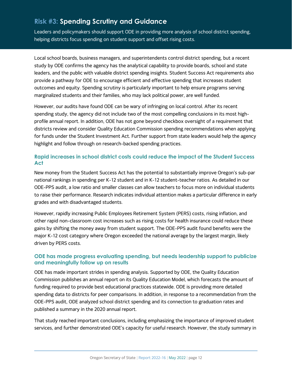# **Risk #3: Spending Scrutiny and Guidance**

Leaders and policymakers should support ODE in providing more analysis of school district spending, helping districts focus spending on student support and offset rising costs.

Local school boards, business managers, and superintendents control district spending, but a recent study by ODE confirms the agency has the analytical capability to provide boards, school and state leaders, and the public with valuable district spending insights. Student Success Act requirements also provide a pathway for ODE to encourage efficient and effective spending that increases student outcomes and equity. Spending scrutiny is particularly important to help ensure programs serving marginalized students and their families, who may lack political power, are well funded.

However, our audits have found ODE can be wary of infringing on local control. After its recent spending study, the agency did not include two of the most compelling conclusions in its most highprofile annual report. In addition, ODE has not gone beyond checkbox oversight of a requirement that districts review and consider Quality Education Commission spending recommendations when applying for funds under the Student Investment Act. Further support from state leaders would help the agency highlight and follow through on research-backed spending practices.

#### **Rapid increases in school district costs could reduce the impact of the Student Success Act**

New money from the Student Success Act has the potential to substantially improve Oregon's sub-par national rankings in spending per K-12 student and in K-12 student-teacher ratios. As detailed in our ODE-PPS audit, a low ratio and smaller classes can allow teachers to focus more on individual students to raise their performance. Research indicates individual attention makes a particular difference in early grades and with disadvantaged students.

However, rapidly increasing Public Employees Retirement System (PERS) costs, rising inflation, and other rapid non-classroom cost increases such as rising costs for health insurance could reduce these gains by shifting the money away from student support. The ODE-PPS audit found benefits were the major K-12 cost category where Oregon exceeded the national average by the largest margin, likely driven by PERS costs.

#### **ODE has made progress evaluating spending, but needs leadership support to publicize and meaningfully follow up on results**

ODE has made important strides in spending analysis. Supported by ODE, the Quality Education Commission publishes an annual report on its Quality Education Model, which forecasts the amount of funding required to provide best educational practices statewide. ODE is providing more detailed spending data to districts for peer comparisons. In addition, in response to a recommendation from the ODE-PPS audit, ODE analyzed school district spending and its connection to graduation rates and published a summary in the 2020 annual report.

That study reached important conclusions, including emphasizing the importance of improved student services, and further demonstrated ODE's capacity for useful research. However, the study summary in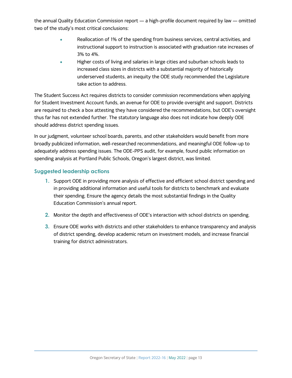the annual Quality Education Commission report — a high-profile document required by law — omitted two of the study's most critical conclusions:

- Reallocation of 1% of the spending from business services, central activities, and instructional support to instruction is associated with graduation rate increases of 3% to 4%.
- Higher costs of living and salaries in large cities and suburban schools leads to increased class sizes in districts with a substantial majority of historically underserved students, an inequity the ODE study recommended the Legislature take action to address.

The Student Success Act requires districts to consider commission recommendations when applying for Student Investment Account funds, an avenue for ODE to provide oversight and support. Districts are required to check a box attesting they have considered the recommendations, but ODE's oversight thus far has not extended further. The statutory language also does not indicate how deeply ODE should address district spending issues.

In our judgment, volunteer school boards, parents, and other stakeholders would benefit from more broadly publicized information, well-researched recommendations, and meaningful ODE follow-up to adequately address spending issues. The ODE-PPS audit, for example, found public information on spending analysis at Portland Public Schools, Oregon's largest district, was limited.

#### **Suggested leadership actions**

- **1.** Support ODE in providing more analysis of effective and efficient school district spending and in providing additional information and useful tools for districts to benchmark and evaluate their spending. Ensure the agency details the most substantial findings in the Quality Education Commission's annual report.
- **2.** Monitor the depth and effectiveness of ODE's interaction with school districts on spending.
- **3.** Ensure ODE works with districts and other stakeholders to enhance transparency and analysis of district spending, develop academic return on investment models, and increase financial training for district administrators.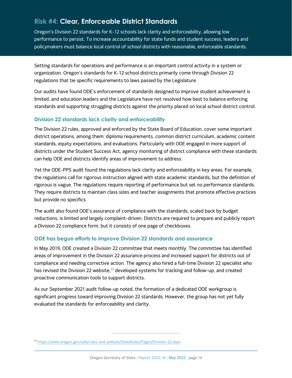# **Risk #4: Clear, Enforceable District Standards**

Oregon's Division 22 standards for K-12 schools lack clarity and enforceability, allowing low performance to persist. To increase accountability for state funds and student success, leaders and policymakers must balance local control of school districts with reasonable, enforceable standards.

Setting standards for operations and performance is an important control activity in a system or organization. Oregon's standards for K-12 school districts primarily come through Division 22 regulations that tie specific requirements to laws passed by the Legislature.

Our audits have found ODE's enforcement of standards designed to improve student achievement is limited, and education leaders and the Legislature have not resolved how best to balance enforcing standards and supporting struggling districts against the priority placed on local school district control.

#### **Division 22 standards lack clarity and enforceability**

The Division 22 rules, approved and enforced by the State Board of Education, cover some important district operations, among them: diploma requirements, common district curriculum, academic content standards, equity expectations, and evaluations. Particularly with ODE engaged in more support of districts under the Student Success Act, agency monitoring of district compliance with these standards can help ODE and districts identify areas of improvement to address.

Yet the ODE-PPS audit found the regulations lack clarity and enforceability in key areas. For example, the regulations call for rigorous instruction aligned with state academic standards, but the definition of rigorous is vague. The regulations require reporting of performance but set no performance standards. They require districts to maintain class sizes and teacher assignments that promote effective practices but provide no specifics.

The audit also found ODE's assurance of compliance with the standards, scaled back by budget reductions, is limited and largely complaint-driven. Districts are required to prepare and publicly report a Division 22 compliance form, but it consists of one page of checkboxes.

#### **ODE has begun efforts to improve Division 22 standards and assurance**

In May 2019, ODE created a Division 22 committee that meets monthly. The committee has identified areas of improvement in the Division 22 assurance process and increased support for districts out of compliance and needing corrective action. The agency also hired a full-time Division 22 specialist who has revised the Division 22 website,<sup>[11](#page-15-0)</sup> developed systems for tracking and follow-up, and created proactive communication tools to support districts.

As our September 2021 audit follow-up noted, the formation of a dedicated ODE workgroup is significant progress toward improving Division 22 standards. However, the group has not yet fully evaluated the standards for enforceability and clarity.

<span id="page-15-0"></span><sup>11</sup> <https://www.oregon.gov/ode/rules-and-policies/StateRules/Pages/Division-22.aspx>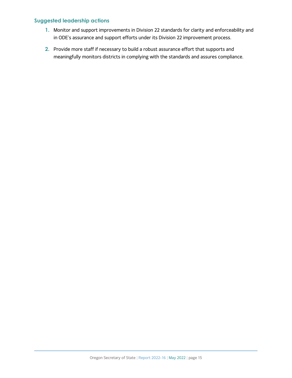#### **Suggested leadership actions**

- **1.** Monitor and support improvements in Division 22 standards for clarity and enforceability and in ODE's assurance and support efforts under its Division 22 improvement process.
- **2.** Provide more staff if necessary to build a robust assurance effort that supports and meaningfully monitors districts in complying with the standards and assures compliance.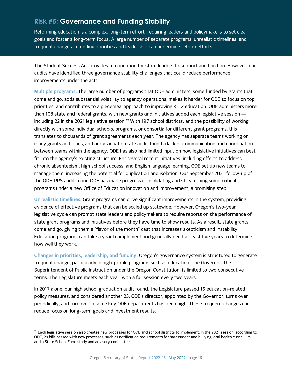## **Risk #5: Governance and Funding Stability**

Reforming education is a complex, long-term effort, requiring leaders and policymakers to set clear goals and foster a long-term focus. A large number of separate programs, unrealistic timelines, and frequent changes in funding priorities and leadership can undermine reform efforts.

The Student Success Act provides a foundation for state leaders to support and build on. However, our audits have identified three governance stability challenges that could reduce performance improvements under the act:

**Multiple programs.** The large number of programs that ODE administers, some funded by grants that come and go, adds substantial volatility to agency operations, makes it harder for ODE to focus on top priorities, and contributes to a piecemeal approach to improving K-12 education. ODE administers more than 108 state and federal grants, with new grants and initiatives added each legislative session including 22 in the 2021 legislative session. [12](#page-17-0) With 197 school districts, and the possibility of working directly with some individual schools, programs, or consortia for different grant programs, this translates to thousands of grant agreements each year. The agency has separate teams working on many grants and plans, and our graduation rate audit found a lack of communication and coordination between teams within the agency. ODE has also had limited input on how legislative initiatives can best fit into the agency's existing structure. For several recent initiatives, including efforts to address chronic absenteeism, high school success, and English language learning, ODE set up new teams to manage them, increasing the potential for duplication and isolation. Our September 2021 follow-up of the ODE-PPS audit found ODE has made progress consolidating and streamlining some critical programs under a new Office of Education Innovation and Improvement, a promising step.

**Unrealistic timelines.** Grant programs can drive significant improvements in the system, providing evidence of effective programs that can be scaled up statewide. However, Oregon's two-year legislative cycle can prompt state leaders and policymakers to require reports on the performance of state grant programs and initiatives before they have time to show results. As a result, state grants come and go, giving them a "flavor of the month" cast that increases skepticism and instability. Education programs can take a year to implement and generally need at least five years to determine how well they work.

**Changes in priorities, leadership, and funding.** Oregon's governance system is structured to generate frequent change, particularly in high-profile programs such as education. The Governor, the Superintendent of Public Instruction under the Oregon Constitution, is limited to two consecutive terms. The Legislature meets each year, with a full session every two years.

In 2017 alone, our high school graduation audit found, the Legislature passed 16 education-related policy measures, and considered another 23. ODE's director, appointed by the Governor, turns over periodically, and turnover in some key ODE departments has been high. These frequent changes can reduce focus on long-term goals and investment results.

<span id="page-17-0"></span> $12$  Each legislative session also creates new processes for ODE and school districts to implement. In the 2021 session, according to ODE, 29 bills passed with new processes, such as notification requirements for harassment and bullying, oral health curriculum, and a State School Fund study and advisory committee.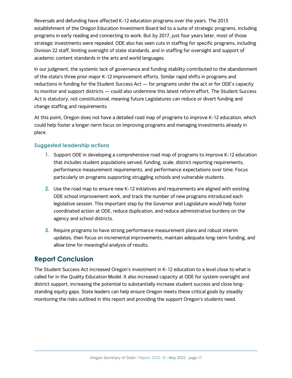Reversals and defunding have affected K-12 education programs over the years. The 2013 establishment of the Oregon Education Investment Board led to a suite of strategic programs, including programs in early reading and connecting to work. But by 2017, just four years later, most of those strategic investments were repealed. ODE also has seen cuts in staffing for specific programs, including Division 22 staff, limiting oversight of state standards, and in staffing for oversight and support of academic content standards in the arts and world languages.

In our judgment, the systemic lack of governance and funding stability contributed to the abandonment of the state's three prior major K-12 improvement efforts. Similar rapid shifts in programs and reductions in funding for the Student Success Act — for programs under the act or for ODE's capacity to monitor and support districts — could also undermine this latest reform effort. The Student Success Act is statutory, not constitutional, meaning future Legislatures can reduce or divert funding and change staffing and requirements.

At this point, Oregon does not have a detailed road map of programs to improve K-12 education, which could help foster a longer-term focus on improving programs and managing investments already in place.

#### **Suggested leadership actions**

- **1.** Support ODE in developing a comprehensive road map of programs to improve K-12 education that includes student populations served, funding, scale, district reporting requirements, performance measurement requirements, and performance expectations over time. Focus particularly on programs supporting struggling schools and vulnerable students.
- **2.** Use the road map to ensure new K-12 initiatives and requirements are aligned with existing ODE school improvement work, and track the number of new programs introduced each legislative session. This important step by the Governor and Legislature would help foster coordinated action at ODE, reduce duplication, and reduce administrative burdens on the agency and school districts.
- **3.** Require programs to have strong performance measurement plans and robust interim updates, then focus on incremental improvements, maintain adequate long-term funding, and allow time for meaningful analysis of results.

## **Report Conclusion**

The Student Success Act increased Oregon's investment in K-12 education to a level close to what is called for in the Quality Education Model. It also increased capacity at ODE for system oversight and district support, increasing the potential to substantially increase student success and close longstanding equity gaps. State leaders can help ensure Oregon meets these critical goals by steadily monitoring the risks outlined in this report and providing the support Oregon's students need.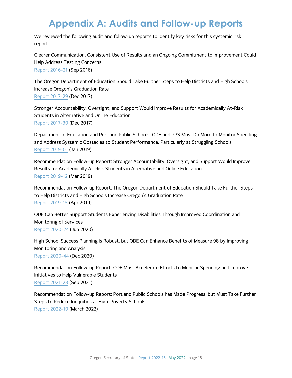# **Appendix A: Audits and Follow-up Reports**

We reviewed the following audit and follow-up reports to identify key risks for this systemic risk report.

Clearer Communication, Consistent Use of Results and an Ongoing Commitment to Improvement Could Help Address Testing Concerns [Report 2016-21](http://records.sos.state.or.us/ORSOSWebDrawer/Recordpdf/5080632) (Sep 2016)

The Oregon Department of Education Should Take Further Steps to Help Districts and High Schools Increase Oregon's Graduation Rate [Report 2017-29](http://records.sos.state.or.us/ORSOSWebDrawer/Recordpdf/5849884) (Dec 2017)

Stronger Accountability, Oversight, and Support Would Improve Results for Academically At-Risk Students in Alternative and Online Education [Report 2017-30](http://records.sos.state.or.us/ORSOSWebDrawer/Recordpdf/5849885) (Dec 2017)

Department of Education and Portland Public Schools: ODE and PPS Must Do More to Monitor Spending and Address Systemic Obstacles to Student Performance, Particularly at Struggling Schools [Report 2019-01](http://records.sos.state.or.us/ORSOSWebDrawer/Recordpdf/6687804) (Jan 2019)

Recommendation Follow-up Report: Stronger Accountability, Oversight, and Support Would Improve Results for Academically At-Risk Students in Alternative and Online Education [Report 2019-12](http://records.sos.state.or.us/ORSOSWebDrawer/Recordpdf/6694882) (Mar 2019)

Recommendation Follow-up Report: The Oregon Department of Education Should Take Further Steps to Help Districts and High Schools Increase Oregon's Graduation Rate [Report 2019-15](http://records.sos.state.or.us/ORSOSWebDrawer/Recordpdf/6694885) (Apr 2019)

ODE Can Better Support Students Experiencing Disabilities Through Improved Coordination and Monitoring of Services [Report 2020-24](http://records.sos.state.or.us/ORSOSWebDrawer/Recordpdf/7359912) (Jun 2020)

High School Success Planning Is Robust, but ODE Can Enhance Benefits of Measure 98 by Improving Monitoring and Analysis [Report 2020-44](http://records.sos.state.or.us/ORSOSWebDrawer/Recordpdf/7672699) (Dec 2020)

Recommendation Follow-up Report: ODE Must Accelerate Efforts to Monitor Spending and Improve Initiatives to Help Vulnerable Students [Report 2021-28](http://records.sos.state.or.us/ORSOSWebDrawer/Recordpdf/8310347) (Sep 2021)

Recommendation Follow-up Report: Portland Public Schools has Made Progress, but Must Take Further Steps to Reduce Inequities at High-Poverty Schools [Report 2022-10](https://sos.oregon.gov/audits/Documents/2022-10.pdf) (March 2022)